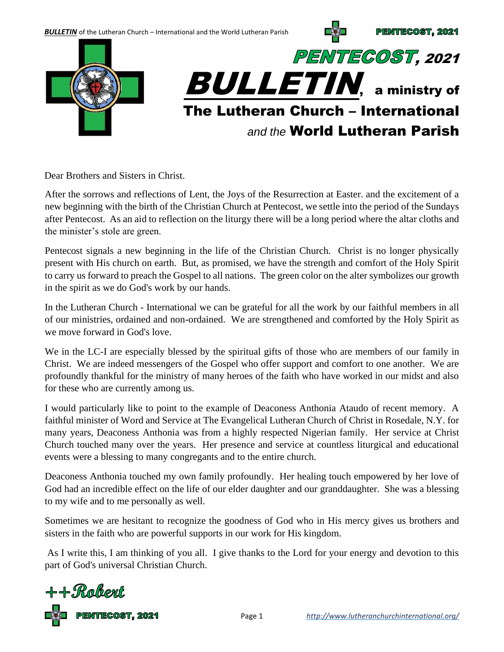**BULLETIN** of the Lutheran Church – International and the World Lutheran Parish

PENTECOST, 2021



Dear Brothers and Sisters in Christ.

After the sorrows and reflections of Lent, the Joys of the Resurrection at Easter. and the excitement of a new beginning with the birth of the Christian Church at Pentecost, we settle into the period of the Sundays after Pentecost. As an aid to reflection on the liturgy there will be a long period where the altar cloths and the minister's stole are green.

Pentecost signals a new beginning in the life of the Christian Church. Christ is no longer physically present with His church on earth. But, as promised, we have the strength and comfort of the Holy Spirit to carry us forward to preach the Gospel to all nations. The green color on the alter symbolizes our growth in the spirit as we do God's work by our hands.

In the Lutheran Church - International we can be grateful for all the work by our faithful members in all of our ministries, ordained and non-ordained. We are strengthened and comforted by the Holy Spirit as we move forward in God's love.

We in the LC-I are especially blessed by the spiritual gifts of those who are members of our family in Christ. We are indeed messengers of the Gospel who offer support and comfort to one another. We are profoundly thankful for the ministry of many heroes of the faith who have worked in our midst and also for these who are currently among us.

I would particularly like to point to the example of Deaconess Anthonia Ataudo of recent memory. A faithful minister of Word and Service at The Evangelical Lutheran Church of Christ in Rosedale, N.Y. for many years, Deaconess Anthonia was from a highly respected Nigerian family. Her service at Christ Church touched many over the years. Her presence and service at countless liturgical and educational events were a blessing to many congregants and to the entire church.

Deaconess Anthonia touched my own family profoundly. Her healing touch empowered by her love of God had an incredible effect on the life of our elder daughter and our granddaughter. She was a blessing to my wife and to me personally as well.

Sometimes we are hesitant to recognize the goodness of God who in His mercy gives us brothers and sisters in the faith who are powerful supports in our work for His kingdom.

As I write this, I am thinking of you all. I give thanks to the Lord for your energy and devotion to this part of God's universal Christian Church.



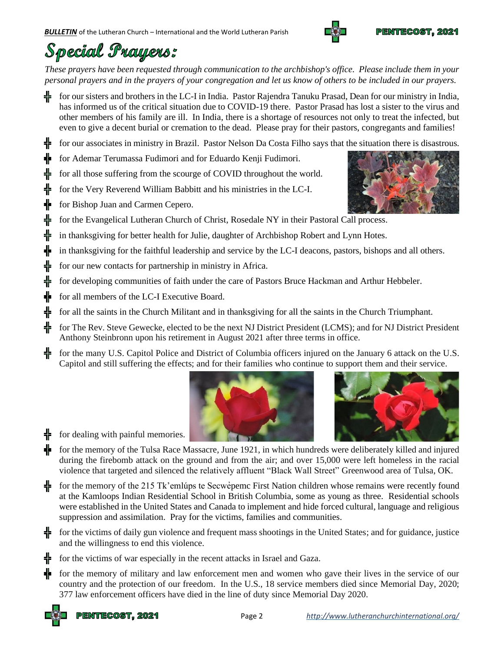

# Special Prayers:

*These prayers have been requested through communication to the archbishop's office. Please include them in your personal prayers and in the prayers of your congregation and let us know of others to be included in our prayers.* 

for our sisters and brothers in the LC-I in India. Pastor Rajendra Tanuku Prasad, Dean for our ministry in India, has informed us of the critical situation due to COVID-19 there. Pastor Prasad has lost a sister to the virus and other members of his family are ill. In India, there is a shortage of resources not only to treat the infected, but even to give a decent burial or cremation to the dead. Please pray for their pastors, congregants and families!

for our associates in ministry in Brazil. Pastor Nelson Da Costa Filho says that the situation there is disastrous.

for Ademar Terumassa Fudimori and for Eduardo Kenji Fudimori.

for all those suffering from the scourge of COVID throughout the world.

- ⋕ for the Very Reverend William Babbitt and his ministries in the LC-I.
	- for Bishop Juan and Carmen Cepero.
	- for the Evangelical Lutheran Church of Christ, Rosedale NY in their Pastoral Call process.
	- in thanksgiving for better health for Julie, daughter of Archbishop Robert and Lynn Hotes.
- in thanksgiving for the faithful leadership and service by the LC-I deacons, pastors, bishops and all others.
- for our new contacts for partnership in ministry in Africa.
- for developing communities of faith under the care of Pastors Bruce Hackman and Arthur Hebbeler.
- for all members of the LC-I Executive Board.
- ╬ for all the saints in the Church Militant and in thanksgiving for all the saints in the Church Triumphant.
- ᆥ for The Rev. Steve Gewecke, elected to be the next NJ District President (LCMS); and for NJ District President Anthony Steinbronn upon his retirement in August 2021 after three terms in office.
- for the many U.S. Capitol Police and District of Columbia officers injured on the January 6 attack on the U.S. ╬ Capitol and still suffering the effects; and for their families who continue to support them and their service.





for dealing with painful memories.

쁢 ╬

╬ ╬ for the memory of the Tulsa Race Massacre, June 1921, in which hundreds were deliberately killed and injured during the firebomb attack on the ground and from the air; and over 15,000 were left homeless in the racial violence that targeted and silenced the relatively affluent "Black Wall Street" Greenwood area of Tulsa, OK.

for the memory of the 215 Tk'emlúps te Secwet per First Nation children whose remains were recently found at the Kamloops Indian Residential School in British Columbia, some as young as three. Residential schools were established in the United States and Canada to implement and hide forced cultural, language and religious suppression and assimilation. Pray for the victims, families and communities.

for the victims of daily gun violence and frequent mass shootings in the United States; and for guidance, justice and the willingness to end this violence.

for the victims of war especially in the recent attacks in Israel and Gaza.

for the memory of military and law enforcement men and women who gave their lives in the service of our country and the protection of our freedom. In the U.S., 18 service members died since Memorial Day, 2020; 377 law enforcement officers have died in the line of duty since Memorial Day 2020.



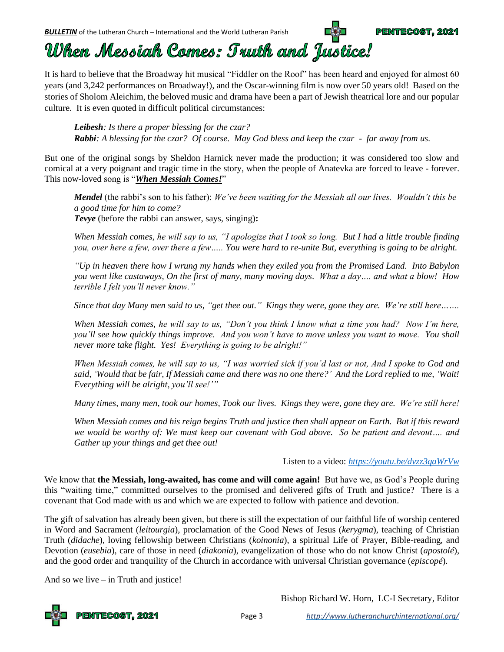*BULLETIN* of the Lutheran Church – International and the World Lutheran Parish



## When Messiah Comes: Truth and Justice!

It is hard to believe that the Broadway hit musical "Fiddler on the Roof" has been heard and enjoyed for almost 60 years (and 3,242 performances on Broadway!), and the Oscar-winning film is now over 50 years old! Based on the stories of Sholom Aleichim, the beloved music and drama have been a part of Jewish theatrical lore and our popular culture. It is even quoted in difficult political circumstances:

*Leibesh: Is there a proper blessing for the czar? Rabbi: A blessing for the czar? Of course. May God bless and keep the czar - far away from us.*

But one of the original songs by Sheldon Harnick never made the production; it was considered too slow and comical at a very poignant and tragic time in the story, when the people of Anatevka are forced to leave - forever. This now-loved song is "*When Messiah Comes!*"

*Mendel* (the rabbi's son to his father): *We've been waiting for the Messiah all our lives. Wouldn't this be a good time for him to come? Tevye* (before the rabbi can answer, says, singing)**:**

*When Messiah comes, he will say to us, "I apologize that I took so long. But I had a little trouble finding you, over here a few, over there a few….. You were hard to re-unite But, everything is going to be alright.*

*"Up in heaven there how I wrung my hands when they exiled you from the Promised Land. Into Babylon you went like castaways, On the first of many, many moving days. What a day…. and what a blow! How terrible I felt you'll never know."*

*Since that day Many men said to us, "get thee out." Kings they were, gone they are. We're still here…….*

*When Messiah comes, he will say to us, "Don't you think I know what a time you had? Now I'm here, you'll see how quickly things improve. And you won't have to move unless you want to move. You shall never more take flight. Yes! Everything is going to be alright!"*

*When Messiah comes, he will say to us, "I was worried sick if you'd last or not, And I spoke to God and said, 'Would that be fair, If Messiah came and there was no one there?' And the Lord replied to me, 'Wait! Everything will be alright, you'll see!'"*

*Many times, many men, took our homes, Took our lives. Kings they were, gone they are. We're still here!*

*When Messiah comes and his reign begins Truth and justice then shall appear on Earth. But if this reward we would be worthy of: We must keep our covenant with God above. So be patient and devout…. and Gather up your things and get thee out!*

#### Listen to a video: *<https://youtu.be/dvzz3qaWrVw>*

We know that **the Messiah, long-awaited, has come and will come again!** But have we, as God's People during this "waiting time," committed ourselves to the promised and delivered gifts of Truth and justice? There is a covenant that God made with us and which we are expected to follow with patience and devotion.

The gift of salvation has already been given, but there is still the expectation of our faithful life of worship centered in Word and Sacrament (*leitourgia*), proclamation of the Good News of Jesus (*kerygma*), teaching of Christian Truth (*didache*), loving fellowship between Christians (*koinonia*), a spiritual Life of Prayer, Bible-reading, and Devotion (*eusebia*), care of those in need (*diakonia*), evangelization of those who do not know Christ (*apostolé*), and the good order and tranquility of the Church in accordance with universal Christian governance (*episcopé*).

And so we live – in Truth and justice!

Bishop Richard W. Horn, LC-I Secretary, Editor